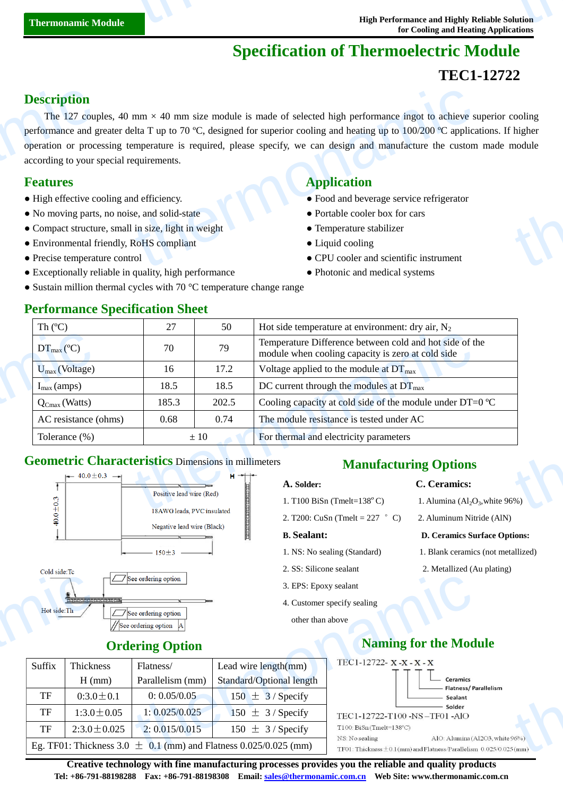# **Specification of Thermoelectric Module**

# **TEC1-12722**

### **Description**

The 127 couples, 40 mm  $\times$  40 mm size module is made of selected high performance ingot to achieve superior cooling performance and greater delta T up to 70 °C, designed for superior cooling and heating up to 100/200  $\degree$ C applications. If higher operation or processing temperature is required, please specify, we can design and manufacture the custom made module according to your special requirements. **Description**<br>The 127 coupler<br>performance and goveration or proce<br>according to your s<br>**Features**<br>• High effective co<br>• No moving parts<br>• Compact structu<br>• Environmental f mm × 40 mm size module is made of selected high performance ingot to achieve selta T up to 70 °C, designed for superior cooling and heating up to 100/200 °C application<br>
emperature is required, please specify, we can desig the cooling<br>the module<br>thermodule

- 
- No moving parts, no noise, and solid-state Portable cooler box for cars
- Compact structure, small in size, light in weight **•** Temperature stabilizer
- Environmental friendly, RoHS compliant <br>• Liquid cooling

**Performance Specification Sheet** 

- 
- Exceptionally reliable in quality, high performance Photonic and medical systems
- Sustain million thermal cycles with 70 °C temperature change range

### **Features Application**

- High effective cooling and efficiency. <br>• Food and beverage service refrigerator
	-
	-
	-

- Precise temperature control ● CPU cooler and scientific instrument
	-

| Th $(C)$                           | 27    | 50       | Hot side temperature at environment: dry air, $N_2$                                                          |  |  |
|------------------------------------|-------|----------|--------------------------------------------------------------------------------------------------------------|--|--|
| $DT_{\text{max}}(\mathbb{C})$      | 70    | 79       | Temperature Difference between cold and hot side of the<br>module when cooling capacity is zero at cold side |  |  |
| $U_{\text{max}}$ (Voltage)         | 16    | 17.2     | Voltage applied to the module at $DT_{\text{max}}$                                                           |  |  |
| $I_{\text{max}}$ (amps)            | 18.5  | 18.5     | DC current through the modules at $DT_{\text{max}}$                                                          |  |  |
| $\mathsf{Q}_{\text{Cmax}}$ (Watts) | 185.3 | 202.5    | Cooling capacity at cold side of the module under DT=0 $\mathbb{C}$                                          |  |  |
| AC resistance (ohms)               | 0.68  | 0.74     | The module resistance is tested under AC                                                                     |  |  |
| Tolerance $(\% )$                  |       | $\pm 10$ | For thermal and electricity parameters                                                                       |  |  |

### **Geometric Characteristics** Dimensions in millimeters



# **Ordering Option**

| Hot side: Th | 10) 010   010   010   010   010   010   010   012                    | See ordering option<br>See ordering option<br>See ordering option                           | 3. EPS: Epoxy sealant<br>other than above | 4. Customer specify sealing             |
|--------------|----------------------------------------------------------------------|---------------------------------------------------------------------------------------------|-------------------------------------------|-----------------------------------------|
|              |                                                                      | <b>Ordering Option</b>                                                                      | <b>Naming for the Mod</b>                 |                                         |
| Suffix       | Thickness                                                            | Flatness/                                                                                   | Lead wire length(mm)                      | TEC1-12722- X-X-X-X                     |
|              | $H$ (mm)                                                             | Parallelism (mm)                                                                            | Standard/Optional length                  | <b>Ceramics</b><br>Flatness/Pa          |
| TF           | $0:3.0 \pm 0.1$                                                      | 0: 0.05/0.05                                                                                | $150 \pm 3$ / Specify                     | Sealant                                 |
| TF           | $1:3.0 \pm 0.05$                                                     | 1: 0.025/0.025                                                                              | $150 \pm 3$ / Specify                     | Solder<br>TEC1-12722-T100 -NS-TF01 -AlO |
| TF           | $2:3.0 \pm 0.025$                                                    | 2: 0.015/0.015                                                                              | $150 \pm 3$ / Specify                     | $T100$ : BiSn (Tmelt=138°C)             |
|              | Eg. TF01: Thickness 3.0 $\pm$ 0.1 (mm) and Flatness 0.025/0.025 (mm) | AlO: Alumina (A<br>NS: No sealing<br>TF01: Thickness $\pm$ 0.1(mm) and Flatness/Parallelism |                                           |                                         |

## **Manufacturing Options**

### **A. Solder: C. Ceramics:**

- 1. Alumina  $\left( Al_2O_3 \right)$ , white 96%)
- 2. T200: CuSn (Tmelt = 227  $\degree$  C) 2. Aluminum Nitride (AlN)

### **B. Sealant: D. Ceramics Surface Options:**

- 1. NS: No sealing (Standard) 1. Blank ceramics (not metallized)
- 2. SS: Silicone sealant 2. Metallized (Au plating)

# **Naming for the Module**



**Creative technology with fine manufacturing processes provides you the reliable and quality products Tel: +86-791-88198288 Fax: +86-791-88198308 Email: sales@thermonamic.com.cn Web Site: www.thermonamic.com.cn**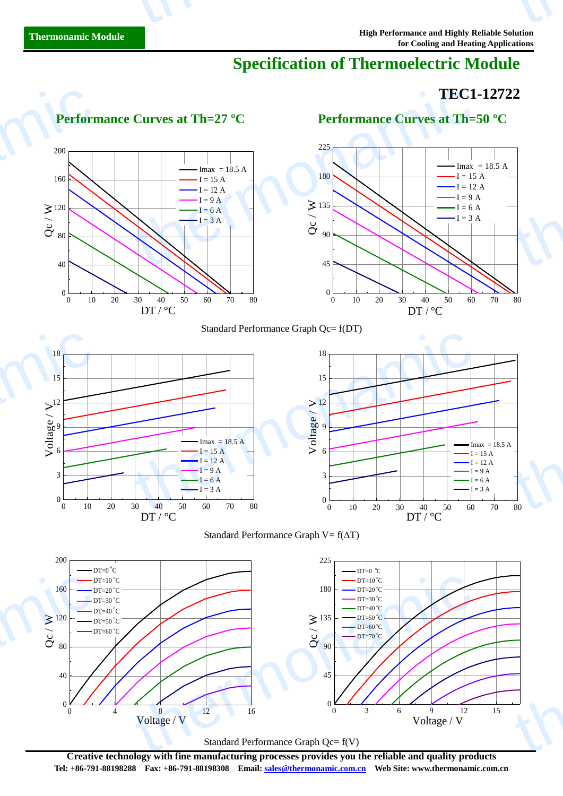# **Specification of Thermoelectric Module**

# **TEC1-12722** thermonic control to the control of the control of the control of the control of the control of the control of the control of the control of the control of the control of the control of the control of the control of the co

 $\begin{bmatrix} 1 \\ 2 \\ 80 \end{bmatrix}$ 

thermonamic



**Creative technology with fine manufacturing processes provides you the reliable and quality products Tel: +86-791-88198288 Fax: +86-791-88198308 Email: sales@thermonamic.com.cn Web Site: www.thermonamic.com.cn**

Standard Performance Graph Qc= f(V)

0 4  $8$  Voltage / V  $^{12}$  16 0 3 6 9 12 15 Voltage / V

Voltage / V